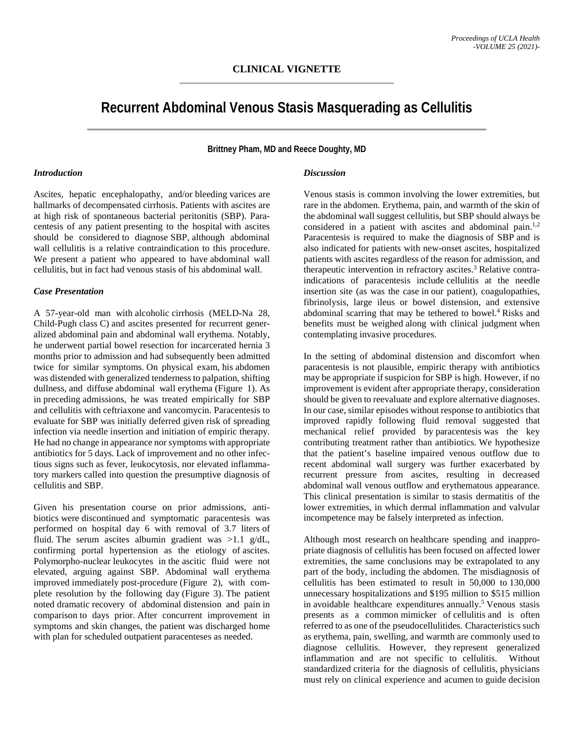# **Recurrent Abdominal Venous Stasis Masquerading as Cellulitis**

**Brittney Pham, MD and Reece Doughty, MD**

### *Introduction*

Ascites, hepatic encephalopathy, and/or bleeding varices are hallmarks of decompensated cirrhosis. Patients with ascites are at high risk of spontaneous bacterial peritonitis (SBP). Paracentesis of any patient presenting to the hospital with ascites should be considered to diagnose SBP, although abdominal wall cellulitis is a relative contraindication to this procedure. We present a patient who appeared to have abdominal wall cellulitis, but in fact had venous stasis of his abdominal wall.

#### *Case Presentation*

A 57-year-old man with alcoholic cirrhosis (MELD-Na 28, Child-Pugh class C) and ascites presented for recurrent generalized abdominal pain and abdominal wall erythema. Notably, he underwent partial bowel resection for incarcerated hernia 3 months prior to admission and had subsequently been admitted twice for similar symptoms. On physical exam, his abdomen was distended with generalized tenderness to palpation, shifting dullness, and diffuse abdominal wall erythema (Figure 1). As in preceding admissions, he was treated empirically for SBP and cellulitis with ceftriaxone and vancomycin. Paracentesis to evaluate for SBP was initially deferred given risk of spreading infection via needle insertion and initiation of empiric therapy. He had no change in appearance nor symptoms with appropriate antibiotics for 5 days. Lack of improvement and no other infectious signs such as fever, leukocytosis, nor elevated inflammatory markers called into question the presumptive diagnosis of cellulitis and SBP.

Given his presentation course on prior admissions, antibiotics were discontinued and symptomatic paracentesis was performed on hospital day 6 with removal of 3.7 liters of fluid. The serum ascites albumin gradient was  $>1.1$  g/dL, confirming portal hypertension as the etiology of ascites. Polymorpho-nuclear leukocytes in the ascitic fluid were not elevated, arguing against SBP. Abdominal wall erythema improved immediately post-procedure (Figure 2), with complete resolution by the following day (Figure 3). The patient noted dramatic recovery of abdominal distension and pain in comparison to days prior. After concurrent improvement in symptoms and skin changes, the patient was discharged home with plan for scheduled outpatient paracenteses as needed.

#### *Discussion*

Venous stasis is common involving the lower extremities, but rare in the abdomen. Erythema, pain, and warmth of the skin of the abdominal wall suggest cellulitis, but SBP should always be considered in a patient with ascites and abdominal pain.<sup>1,2</sup> Paracentesis is required to make the diagnosis of SBP and is also indicated for patients with new-onset ascites, hospitalized patients with ascites regardless of the reason for admission, and therapeutic intervention in refractory ascites. <sup>3</sup> Relative contraindications of paracentesis include cellulitis at the needle insertion site (as was the case in our patient), coagulopathies, fibrinolysis, large ileus or bowel distension, and extensive abdominal scarring that may be tethered to bowel. <sup>4</sup> Risks and benefits must be weighed along with clinical judgment when contemplating invasive procedures.

In the setting of abdominal distension and discomfort when paracentesis is not plausible, empiric therapy with antibiotics may be appropriate if suspicion for SBP is high. However, if no improvement is evident after appropriate therapy, consideration should be given to reevaluate and explore alternative diagnoses. In our case, similar episodes without response to antibiotics that improved rapidly following fluid removal suggested that mechanical relief provided by paracentesis was the key contributing treatment rather than antibiotics. We hypothesize that the patient's baseline impaired venous outflow due to recent abdominal wall surgery was further exacerbated by recurrent pressure from ascites, resulting in decreased abdominal wall venous outflow and erythematous appearance. This clinical presentation is similar to stasis dermatitis of the lower extremities, in which dermal inflammation and valvular incompetence may be falsely interpreted as infection.

Although most research on healthcare spending and inappropriate diagnosis of cellulitis has been focused on affected lower extremities, the same conclusions may be extrapolated to any part of the body, including the abdomen. The misdiagnosis of cellulitis has been estimated to result in 50,000 to 130,000 unnecessary hospitalizations and \$195 million to \$515 million in avoidable healthcare expenditures annually. <sup>5</sup> Venous stasis presents as a common mimicker of cellulitis and is often referred to as one of the pseudocellulitides. Characteristics such as erythema, pain, swelling, and warmth are commonly used to diagnose cellulitis. However, they represent generalized inflammation and are not specific to cellulitis. Without standardized criteria for the diagnosis of cellulitis, physicians must rely on clinical experience and acumen to guide decision